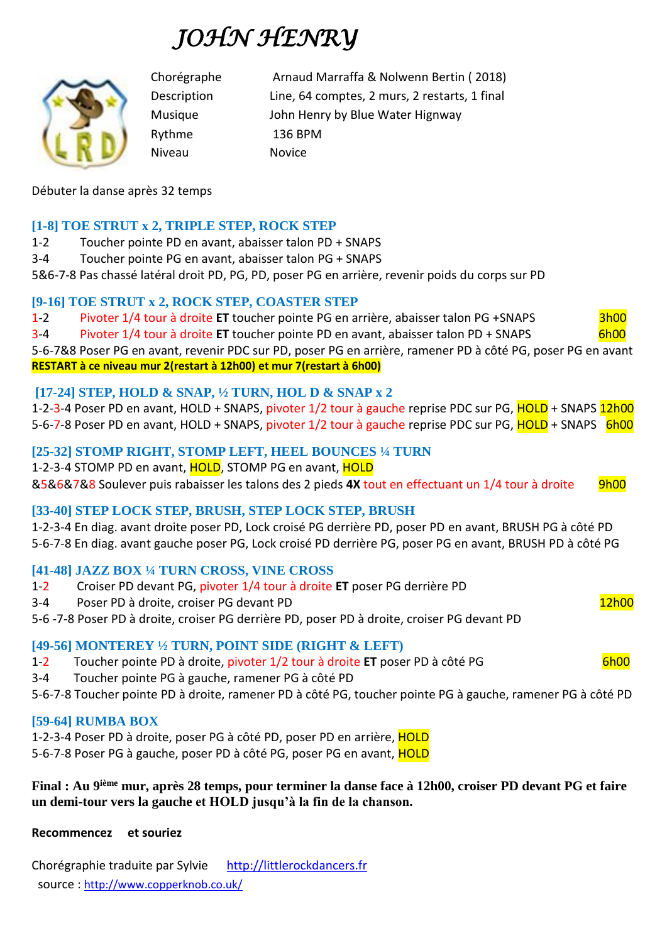# *JOHN HENRY*



Chorégraphe Arnaud Marraffa & Nolwenn Bertin ( 2018) Description Line, 64 comptes, 2 murs, 2 restarts, 1 final Musique John Henry by Blue Water Hignway Rythme 136 BPM Niveau Novice

Débuter la danse après 32 temps

# **[1-8] TOE STRUT x 2, TRIPLE STEP, ROCK STEP**

1-2 Toucher pointe PD en avant, abaisser talon PD + SNAPS

3-4 Toucher pointe PG en avant, abaisser talon PG + SNAPS

5&6-7-8 Pas chassé latéral droit PD, PG, PD, poser PG en arrière, revenir poids du corps sur PD

## **[9-16] TOE STRUT x 2, ROCK STEP, COASTER STEP**

1-2 Pivoter 1/4 tour à droite **ET** toucher pointe PG en arrière, abaisser talon PG +SNAPS 3h00

3-4 Pivoter 1/4 tour à droite **ET** toucher pointe PD en avant, abaisser talon PD + SNAPS 6h00 5-6-7&8 Poser PG en avant, revenir PDC sur PD, poser PG en arrière, ramener PD à côté PG, poser PG en avant

**RESTART à ce niveau mur 2(restart à 12h00) et mur 7(restart à 6h00)**

# **[17-24] STEP, HOLD & SNAP, ½ TURN, HOL D & SNAP x 2**

1-2-3-4 Poser PD en avant, HOLD + SNAPS, pivoter 1/2 tour à gauche reprise PDC sur PG, HOLD + SNAPS 12h00 5-6-7-8 Poser PD en avant, HOLD + SNAPS, pivoter 1/2 tour à gauche reprise PDC sur PG, HOLD + SNAPS 6h00

# **[25-32] STOMP RIGHT, STOMP LEFT, HEEL BOUNCES ¼ TURN**

1-2-3-4 STOMP PD en avant, HOLD, STOMP PG en avant, HOLD

&5&6&7&8 Soulever puis rabaisser les talons des 2 pieds **4X** tout en effectuant un 1/4 tour à droite 9h00

## **[33-40] STEP LOCK STEP, BRUSH, STEP LOCK STEP, BRUSH**

1-2-3-4 En diag. avant droite poser PD, Lock croisé PG derrière PD, poser PD en avant, BRUSH PG à côté PD 5-6-7-8 En diag. avant gauche poser PG, Lock croisé PD derrière PG, poser PG en avant, BRUSH PD à côté PG

## **[41-48] JAZZ BOX ¼ TURN CROSS, VINE CROSS**

- 1-2 Croiser PD devant PG, pivoter 1/4 tour à droite **ET** poser PG derrière PD
- 3-4 Poser PD à droite, croiser PG devant PD 12h00

5-6 -7-8 Poser PD à droite, croiser PG derrière PD, poser PD à droite, croiser PG devant PD

## **[49-56] MONTEREY ½ TURN, POINT SIDE (RIGHT & LEFT)**

1-2 Toucher pointe PD à droite, pivoter 1/2 tour à droite **ET** poser PD à côté PG 6h00

3-4 Toucher pointe PG à gauche, ramener PG à côté PD

5-6-7-8 Toucher pointe PD à droite, ramener PD à côté PG, toucher pointe PG à gauche, ramener PG à côté PD

## **[59-64] RUMBA BOX**

1-2-3-4 Poser PD à droite, poser PG à côté PD, poser PD en arrière, HOLD

5-6-7-8 Poser PG à gauche, poser PD à côté PG, poser PG en avant, HOLD

#### **Final : Au 9ième mur, après 28 temps, pour terminer la danse face à 12h00, croiser PD devant PG et faire un demi-tour vers la gauche et HOLD jusqu'à la fin de la chanson.**

**Recommencez et souriez**

Chorégraphie traduite par Sylvie [http://littlerockdancers.fr](http://littlerockdancers.fr/)  source : [http://www.copperknob.co.uk/](https://www.copperknob.co.uk/)